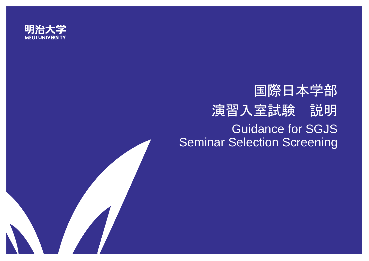

# 国際日本学部 演習入室試験 説明 Guidance for SGJS Seminar Selection Screening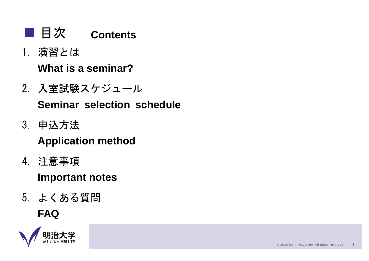#### ■ 目次 **Contents**

1. 演習とは

# **What is a seminar?**

2. 入室試験スケジュール

**Seminar selection schedule**

3. 申込方法

# **Application method**

4. 注意事項

# **Important notes**

5. よくある質問

# **FAQ**

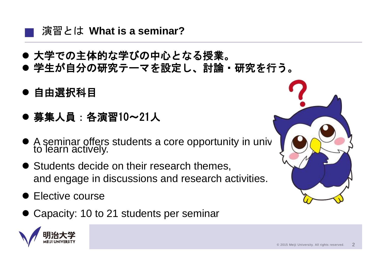### 演習とは **What is a seminar?**

- 大学での主体的な学びの中心となる授業。
- 学生が自分の研究テーマを設定し、討論・研究を行う。
- 自由選択科目

- 募集人員:各演習10~21人
- A seminar offers students a core opportunity in university to learn actively.
- **Students decide on their research themes,** and engage in discussions and research activities.
- Elective course
- Capacity: 10 to 21 students per seminar



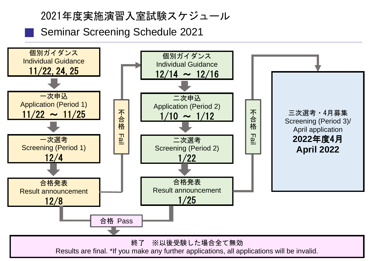### 2021年度実施演習入室試験スケジュール

Seminar Screening Schedule 2021

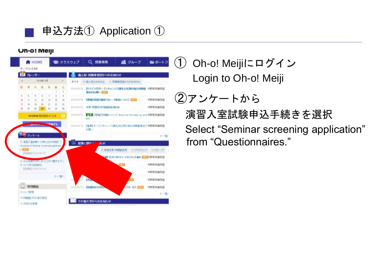

### 申込方法① Application ①

#### **Un-o! Meiji**

|                  | <b>N</b> HOME              |                |                                                                 | m クラスウェブ        |                                    |            | Q 授業検索     | 2 グループ                                                  | 医 ポートフ                              |                                                             |
|------------------|----------------------------|----------------|-----------------------------------------------------------------|-----------------|------------------------------------|------------|------------|---------------------------------------------------------|-------------------------------------|-------------------------------------------------------------|
|                  | ボータルトICME                  |                |                                                                 |                 |                                    |            |            |                                                         |                                     |                                                             |
| 27               |                            | カレンダー          |                                                                 |                 |                                    |            |            | 個人宛・所属事務室からのお知らせ                                        |                                     |                                                             |
| ĸ                | 2010年6月<br>×               |                |                                                                 |                 | ■個人宛の形知らせ<br>◎ 刑票事務室からのおきかい<br>すべて |            |            |                                                         |                                     |                                                             |
| Θ                | 月                          | 火              | 水                                                               | 末               | 宏                                  | 圡          | 2018/05/26 |                                                         | (リマインド)オープンキャンパス測礼支払用の振込依頼書 中野教育事務室 |                                                             |
|                  |                            |                |                                                                 |                 |                                    |            |            | 提出のお願い 田島                                               |                                     |                                                             |
| 1<br>10          | $\ddot{\phantom{a}}$<br>11 | s<br>13        | ×<br>11                                                         | 7<br>14         | s<br>15                            | y<br>16    | 2010/06/26 | 【東端盟国国講座グループ発表について 日記】                                  |                                     | 中野教務事務室                                                     |
| 17               | m                          | 19             | 20                                                              | ÞΤ              | D2                                 | 23         |            |                                                         |                                     |                                                             |
| 34               | 28.                        | 28             | 97                                                              | 24              | 29                                 | 30         | 2010/08/28 | 大学・学部ガイド完成のお知らせ                                         |                                     | 中野教務事務室                                                     |
| 2018年86月27日のイベント |                            |                |                                                                 |                 |                                    | 2010/06/18 | dale.      | 「『まま!!』 【第項に】対象こついて Notice for the make up othe 中野教務事務室 |                                     |                                                             |
|                  |                            | <b>Burning</b> |                                                                 | <b>STORY OF</b> |                                    |            | 2010/05/18 |                                                         | 【重要】オープンキャンパス調扎支払用の振込依頼書提出の中野教務事務室  |                                                             |
|                  |                            |                |                                                                 |                 |                                    |            |            | お顔い                                                     |                                     |                                                             |
|                  |                            | アノケート          |                                                                 |                 |                                    |            |            |                                                         |                                     |                                                             |
|                  |                            |                | ◎ 演習入室試験→次中し込み手続き<br>at period of Seminar acreening application |                 |                                    |            |            | 授業に関する<br>ÆĽ                                            |                                     |                                                             |
| $+ 1.12$         |                            |                |                                                                 |                 |                                    |            |            | □ 的家实更+特問犯实更                                            | ◎ クラスウェー                            | 自グループ                                                       |
|                  |                            |                | <b>BRANCE 2010/07/27</b>                                        |                 |                                    |            |            |                                                         | ※限 木スピタリティ・マネジメント協A 民民学生生作音事音室      |                                                             |
|                  | ケート(1月10日練切)               |                | ■ 2016年度TOEFL 8Tスコアに関するデノ                                       |                 |                                    |            |            |                                                         | <b>BELVIVE</b>                      |                                                             |
|                  |                            |                | <b>四本期日 2018/01/10</b>                                          |                 |                                    |            |            |                                                         |                                     |                                                             |
|                  |                            |                |                                                                 |                 | □一覧へ                               |            | Ħ          | <b>Class</b>                                            |                                     |                                                             |
|                  |                            | 管理機能           |                                                                 |                 |                                    |            | 2418/98/22 | 【休憩】10/2706.3                                           | TA (E)                              |                                                             |
|                  | ●リンク管理                     |                |                                                                 |                 |                                    |            |            |                                                         |                                     |                                                             |
|                  |                            |                | ● 時間計(PDF)表示技定                                                  |                 |                                    |            |            | その他大学からのお知らせ                                            |                                     | □→W·<br>中野教務事務案<br>中野教務事務案<br>中野教院事務室<br>中野教務事務室<br>$0 - W$ |

① Oh-o! Meijiにログイン Login to Oh-o! Meiji

②アンケートから

演習入室試験申込手続きを選択 Select "Seminar screening application" from "Questionnaires."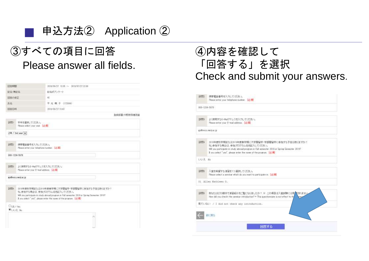

# ③すべての項目に回答 Please answer all fields.

| 回答期間                        |                                                                     | 2018/06/27 12:35 ~ 2019/07/27 22:08                                                                                                                                                                                                               |  |  |  |  |
|-----------------------------|---------------------------------------------------------------------|---------------------------------------------------------------------------------------------------------------------------------------------------------------------------------------------------------------------------------------------------|--|--|--|--|
| 足名·黑尼名                      |                                                                     | 記名式アンケート                                                                                                                                                                                                                                          |  |  |  |  |
| 国客の導正                       |                                                                     | 町                                                                                                                                                                                                                                                 |  |  |  |  |
| 氏岩                          |                                                                     | 干光晴子 (172000)                                                                                                                                                                                                                                     |  |  |  |  |
| 回答日時                        |                                                                     | 2218/06/37 11:43                                                                                                                                                                                                                                  |  |  |  |  |
|                             |                                                                     | 登録部署:中野教務事務案                                                                                                                                                                                                                                      |  |  |  |  |
| 設備し                         | 学年を選択してください。<br>Please select your year. [1698]                     |                                                                                                                                                                                                                                                   |  |  |  |  |
|                             | 2年 / 2nd year v.                                                    |                                                                                                                                                                                                                                                   |  |  |  |  |
| 提開2                         | 摂帯電話番号を入力してください。<br>Please enter your telephone number. [必須]        |                                                                                                                                                                                                                                                   |  |  |  |  |
| 800-1204-5678               |                                                                     |                                                                                                                                                                                                                                                   |  |  |  |  |
| 開開                          | よく使用するE-MaD字レスを入力してください。<br>Pirate enter your E-mail address. [259] |                                                                                                                                                                                                                                                   |  |  |  |  |
|                             | estimos reijuo. D                                                   |                                                                                                                                                                                                                                                   |  |  |  |  |
| 設置                          |                                                                     | 2018年度秋学期または2019年度春学期に大学開留学・学部開留学に参加する予定はありますか?<br>もし参加する場合は、参加プログラム名を記入してください。<br>WII you participate in study abroad program in Fall semester 2018 or Spring Semester 2019?<br>I you select "yes", please enter the name of the program. [[23]] |  |  |  |  |
| Cittle Ves<br><b>DISTEN</b> |                                                                     |                                                                                                                                                                                                                                                   |  |  |  |  |
|                             |                                                                     | ×                                                                                                                                                                                                                                                 |  |  |  |  |
|                             |                                                                     |                                                                                                                                                                                                                                                   |  |  |  |  |
|                             |                                                                     | w                                                                                                                                                                                                                                                 |  |  |  |  |

# ④内容を確認して 「回答する」を選択 Check and submit your answers.

|              | 前に囲る                                                                                                                                                                                                                                              |  |  |  |  |
|--------------|---------------------------------------------------------------------------------------------------------------------------------------------------------------------------------------------------------------------------------------------------|--|--|--|--|
|              | 見ていない / I did not check any introduction.                                                                                                                                                                                                         |  |  |  |  |
| 10005        | あなたはどの媒体で演習紹介をご覧になりましたか? ※ この項目は入業試験には多/Mされません<br>How did you check the seminar introduction? * This questionnaire is not effect to the                                                                                                           |  |  |  |  |
|              | 01 Allen Kathleen O.                                                                                                                                                                                                                              |  |  |  |  |
| <b>2005:</b> | 入室を希望する演習を1つ運搬してくだき、い<br>Please select a seminar which do you want to participate in: [B)(R)                                                                                                                                                      |  |  |  |  |
| して「浅 国の      |                                                                                                                                                                                                                                                   |  |  |  |  |
| <b>INMI</b>  | 2010年度秋学期主社は2010年歴春学期こ大学開留学・学部開留学に参加する予定はありますか?<br>もし参加する場合は、参加プログラム名を記入してください。<br>Will you participate in study abroad program in Fall semester 2018 or Spring Semester 2019?<br>If you telect "yes", please enter the name of the program. [[E] |  |  |  |  |
|              | girlmics miji ac.jr                                                                                                                                                                                                                               |  |  |  |  |
| 10093        | よく使用するE-Mailアドレスを入力してください。<br>Please eriter your E-mail address. [(E)B]                                                                                                                                                                           |  |  |  |  |
|              | 000-1204-5670                                                                                                                                                                                                                                     |  |  |  |  |
| 1000Y        | 携帯管話番号を入力してください。<br>Please enter your telephone number. [JEF#]                                                                                                                                                                                    |  |  |  |  |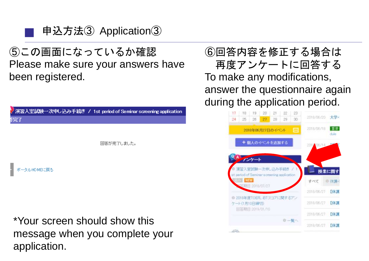

⑤この画面になっているか確認 Please make sure your answers have been registered.

|                  | <mark>/ 演習入室試験一次申し込み手続き / 1st period of Seminar screening application</mark> |
|------------------|------------------------------------------------------------------------------|
|                  |                                                                              |
|                  | 回答が完了しました。                                                                   |
| ポータルHOMEに戻る<br>2 |                                                                              |

\*Your screen should show this message when you complete your application.

⑥回答内容を修正する場合は 再度アンケートに回答する To make any modifications, answer the questionnaire again during the application period.

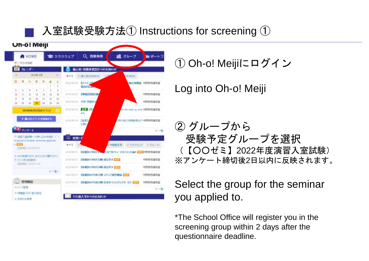# 入室試験受験方法① Instructions for screening ①



① Oh-o! Meijiにログイン

Log into Oh-o! Meiji

② グループから 受験予定グループを選択 (【○○ゼミ】2022年度演習入室試験) ※アンケート締切後2日以内に反映されます。

### Select the group for the seminar you applied to.

\*The School Office will register you in the screening group within 2 days after the questionnaire deadline.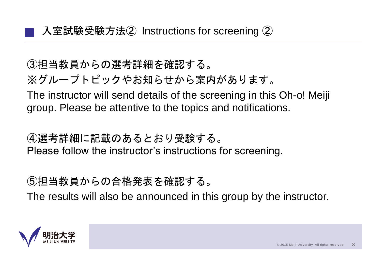③担当教員からの選考詳細を確認する。 ※グループトピックやお知らせから案内があります。 The instructor will send details of the screening in this Oh-o! Meiji group. Please be attentive to the topics and notifications.

④選考詳細に記載のあるとおり受験する。 Please follow the instructor's instructions for screening.

⑤担当教員からの合格発表を確認する。 The results will also be announced in this group by the instructor.

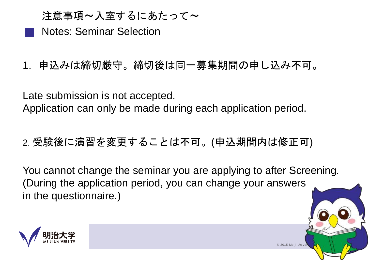### 注意事項~入室するにあたって~

Notes: Seminar Selection

1. 申込みは締切厳守。締切後は同一募集期間の申し込み不可。

Late submission is not accepted. Application can only be made during each application period.

2. 受験後に演習を変更することは不可。(申込期間内は修正可)

You cannot change the seminar you are applying to after Screening. (During the application period, you can change your answers in the questionnaire.)

© 2015 Meiji Unive

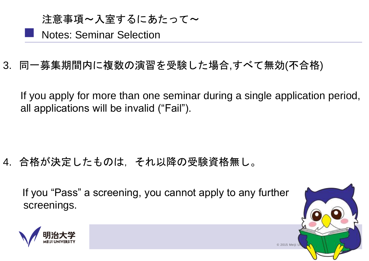■ 注意事項~入室するにあたって~ Notes: Seminar Selection

3. 同一募集期間内に複数の演習を受験した場合,すべて無効(不合格)

If you apply for more than one seminar during a single application period, all applications will be invalid ("Fail").

4. 合格が決定したものは,それ以降の受験資格無し。

If you "Pass" a screening, you cannot apply to any further screenings.



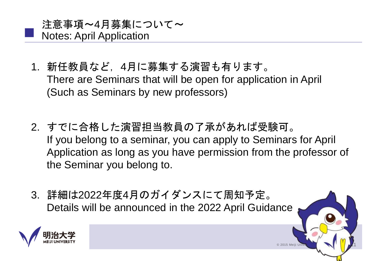- 1. 新任教員など,4月に募集する演習も有ります。 There are Seminars that will be open for application in April (Such as Seminars by new professors)
- 2. すでに合格した演習担当教員の了承があれば受験可。 If you belong to a seminar, you can apply to Seminars for April Application as long as you have permission from the professor of the Seminar you belong to.

 $©$  2015 Meiji Un

3. 詳細は2022年度4月のガイダンスにて周知予定。 Details will be announced in the 2022 April Guidance

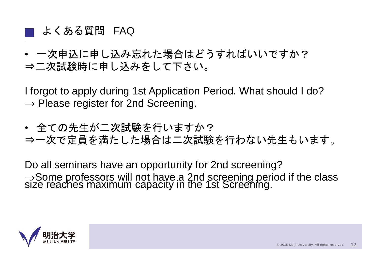### よくある質問 FAQ

■

• 一次申込に申し込み忘れた場合はどうすればいいですか? ⇒二次試験時に申し込みをして下さい。

I forgot to apply during 1st Application Period. What should I do?  $\rightarrow$  Please register for 2nd Screening.

• 全ての先生が二次試験を行いますか? ⇒一次で定員を満たした場合は二次試験を行わない先生もいます。

Do all seminars have an opportunity for 2nd screening? → Some professors will not have a 2nd screening period if the class<br>size reaches maximum capacity in the 1st Screening.

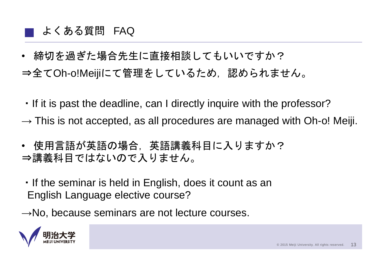#### ■ よくある質問 FAQ

• 締切を過ぎた場合先生に直接相談してもいいですか?

⇒全てOh-o!Meijiにて管理をしているため、認められません。

- ・If it is past the deadline, can I directly inquire with the professor?
- $\rightarrow$  This is not accepted, as all procedures are managed with Oh-o! Meiji.
- 使用言語が英語の場合,英語講義科目に入りますか? ⇒講義科目ではないので入りません。
- ・If the seminar is held in English, does it count as an English Language elective course?
- $\rightarrow$ No, because seminars are not lecture courses.

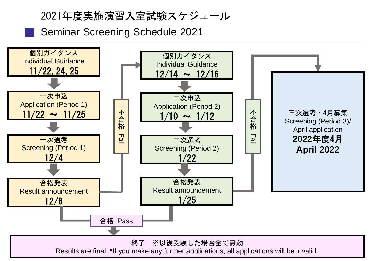### 2021年度実施演習入室試験スケジュール

Seminar Screening Schedule 2021